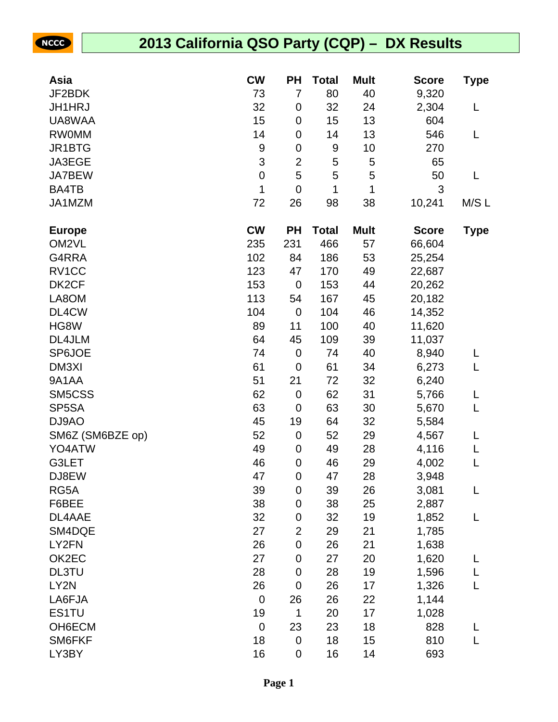|  | Nee |  |  |
|--|-----|--|--|
|  |     |  |  |
|  |     |  |  |

# **2013 California QSO Party (CQP) – DX Results**

| Asia               | <b>CW</b>        | <b>PH</b>        | <b>Total</b> | <b>Mult</b> | <b>Score</b> | Type        |
|--------------------|------------------|------------------|--------------|-------------|--------------|-------------|
| JF2BDK             | 73               | 7                | 80           | 40          | 9,320        |             |
| <b>JH1HRJ</b>      | 32               | 0                | 32           | 24          | 2,304        | L           |
| UA8WAA             | 15               | 0                | 15           | 13          | 604          |             |
| <b>RW0MM</b>       | 14               | 0                | 14           | 13          | 546          | L           |
| JR1BTG             | $\boldsymbol{9}$ | 0                | 9            | 10          | 270          |             |
| JA3EGE             | 3                | $\overline{2}$   | 5            | 5           | 65           |             |
| JA7BEW             | $\pmb{0}$        | 5                | 5            | 5           | 50           | L           |
| BA4TB              | 1                | $\mathbf 0$      | 1            | 1           | 3            |             |
| JA1MZM             | 72               | 26               | 98           | 38          | 10,241       | M/SL        |
| <b>Europe</b>      | <b>CW</b>        | <b>PH</b>        | <b>Total</b> | <b>Mult</b> | <b>Score</b> | <b>Type</b> |
| OM <sub>2VL</sub>  | 235              | 231              | 466          | 57          | 66,604       |             |
| G4RRA              | 102              | 84               | 186          | 53          | 25,254       |             |
| RV1CC              | 123              | 47               | 170          | 49          | 22,687       |             |
| DK <sub>2</sub> CF | 153              | $\mathbf 0$      | 153          | 44          | 20,262       |             |
| LA8OM              | 113              | 54               | 167          | 45          | 20,182       |             |
| DL4CW              | 104              | $\pmb{0}$        | 104          | 46          | 14,352       |             |
| HG8W               | 89               | 11               | 100          | 40          | 11,620       |             |
| DL4JLM             | 64               | 45               | 109          | 39          | 11,037       |             |
| SP6JOE             | 74               | $\boldsymbol{0}$ | 74           | 40          | 8,940        |             |
| DM3XI              | 61               | $\mathbf 0$      | 61           | 34          | 6,273        | L           |
| 9A1AA              | 51               | 21               | 72           | 32          | 6,240        |             |
| SM5CSS             | 62               | $\pmb{0}$        | 62           | 31          | 5,766        | L           |
| SP5SA              | 63               | $\mathbf 0$      | 63           | 30          | 5,670        | L           |
| DJ9AO              | 45               | 19               | 64           | 32          | 5,584        |             |
| SM6Z (SM6BZE op)   | 52               | $\pmb{0}$        | 52           | 29          | 4,567        | L           |
| YO4ATW             | 49               | $\boldsymbol{0}$ | 49           | 28          | 4,116        | L           |
| G3LET              | 46               | 0                | 46           | 29          | 4,002        | L           |
| DJ8EW              | 47               | 0                | 47           | 28          | 3,948        |             |
| RG5A               | 39               | $\boldsymbol{0}$ | 39           | 26          | 3,081        | L           |
| F6BEE              | 38               | 0                | 38           | 25          | 2,887        |             |
| DL4AAE             | 32               | 0                | 32           | 19          | 1,852        | L           |
| SM4DQE             | 27               | $\overline{2}$   | 29           | 21          | 1,785        |             |
| LY2FN              | 26               | $\mathbf 0$      | 26           | 21          | 1,638        |             |
| OK2EC              | 27               | 0                | 27           | 20          | 1,620        | L           |
| <b>DL3TU</b>       | 28               | 0                | 28           | 19          | 1,596        | L           |
| LY2N               | 26               | $\mathbf 0$      | 26           | 17          | 1,326        | L           |
| LA6FJA             | $\mathbf 0$      | 26               | 26           | 22          | 1,144        |             |
| ES1TU              | 19               | 1                | 20           | 17          | 1,028        |             |
| OH6ECM             | $\pmb{0}$        | 23               | 23           | 18          | 828          | L           |
| SM6FKF             | 18               | $\pmb{0}$        | 18           | 15          | 810          | L           |
| LY3BY              | 16               | $\pmb{0}$        | 16           | 14          | 693          |             |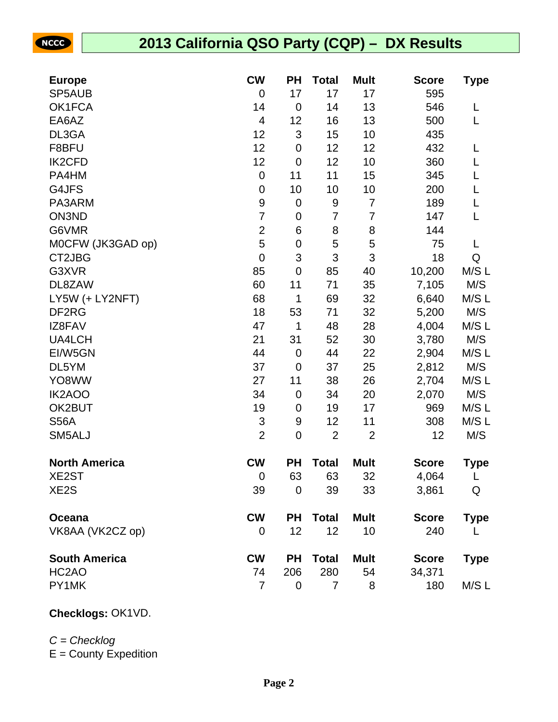NCCC

## **2013 California QSO Party (CQP) – DX Results**

| <b>Europe</b>        | <b>CW</b>                 | <b>PH</b>                 | <b>Total</b>   | <b>Mult</b>    | <b>Score</b> | <b>Type</b> |
|----------------------|---------------------------|---------------------------|----------------|----------------|--------------|-------------|
| SP5AUB               | $\overline{0}$            | 17                        | 17             | 17             | 595          |             |
| OK1FCA               | 14                        | $\mathbf 0$               | 14             | 13             | 546          | L           |
| EA6AZ                | $\overline{4}$            | 12                        | 16             | 13             | 500          | L           |
| DL3GA                | 12                        | $\ensuremath{\mathsf{3}}$ | 15             | 10             | 435          |             |
| F8BFU                | 12                        | $\boldsymbol{0}$          | 12             | 12             | 432          | L           |
| <b>IK2CFD</b>        | 12                        | $\mathbf 0$               | 12             | 10             | 360          | L           |
| PA4HM                | $\mathbf 0$               | 11                        | 11             | 15             | 345          | L           |
| G4JFS                | $\pmb{0}$                 | 10                        | 10             | 10             | 200          | L           |
| PA3ARM               | $\boldsymbol{9}$          | $\mathbf 0$               | 9              | $\overline{7}$ | 189          | L           |
| ON3ND                | $\overline{7}$            | $\pmb{0}$                 | $\overline{7}$ | 7              | 147          | L           |
| G6VMR                | $\overline{2}$            | $\,6$                     | 8              | 8              | 144          |             |
| MOCFW (JK3GAD op)    | 5                         | $\pmb{0}$                 | 5              | 5              | 75           | L           |
| CT2JBG               | $\mathbf 0$               | $\ensuremath{\mathsf{3}}$ | 3              | 3              | 18           | Q           |
| G3XVR                | 85                        | $\mathbf 0$               | 85             | 40             | 10,200       | M/SL        |
| DL8ZAW               | 60                        | 11                        | 71             | 35             | 7,105        | M/S         |
| LY5W (+ LY2NFT)      | 68                        | 1                         | 69             | 32             | 6,640        | M/S L       |
| DF <sub>2</sub> RG   | 18                        | 53                        | 71             | 32             | 5,200        | M/S         |
| IZ8FAV               | 47                        | 1                         | 48             | 28             | 4,004        | M/S L       |
| <b>UA4LCH</b>        | 21                        | 31                        | 52             | 30             | 3,780        | M/S         |
| EI/W5GN              | 44                        | $\mathbf 0$               | 44             | 22             | 2,904        | M/S L       |
| DL5YM                | 37                        | $\mathbf 0$               | 37             | 25             | 2,812        | M/S         |
| YO8WW                | 27                        | 11                        | 38             | 26             | 2,704        | M/S L       |
| <b>IK2AOO</b>        | 34                        | $\mathbf 0$               | 34             | 20             | 2,070        | M/S         |
| OK2BUT               | 19                        | $\boldsymbol{0}$          | 19             | 17             | 969          | M/SL        |
| <b>S56A</b>          | $\ensuremath{\mathsf{3}}$ | 9                         | 12             | 11             | 308          | M/SL        |
| SM5ALJ               | $\overline{2}$            | $\pmb{0}$                 | $\overline{2}$ | $\overline{2}$ | 12           | M/S         |
| <b>North America</b> | <b>CW</b>                 | <b>PH</b>                 | <b>Total</b>   | <b>Mult</b>    | <b>Score</b> | <b>Type</b> |
| XE2ST                | $\mathbf 0$               | 63                        | 63             | 32             | 4,064        | L           |
| XE <sub>2</sub> S    | 39                        | $\mathbf 0$               | 39             | 33             | 3,861        | Q           |
| Oceana               | <b>CW</b>                 | <b>PH</b>                 | <b>Total</b>   | <b>Mult</b>    | <b>Score</b> | <b>Type</b> |
| VK8AA (VK2CZ op)     | 0                         | 12                        | 12             | 10             | 240          |             |
| <b>South America</b> | <b>CW</b>                 | <b>PH</b>                 | <b>Total</b>   | <b>Mult</b>    | <b>Score</b> | <b>Type</b> |
| HC <sub>2</sub> AO   | 74                        | 206                       | 280            | 54             | 34,371       |             |
| PY1MK                | $\overline{7}$            | 0                         | 7              | 8              | 180          | M/S L       |

### **Checklogs:** OK1VD.

#### $C =$ Checklog

 $E =$  County Expedition